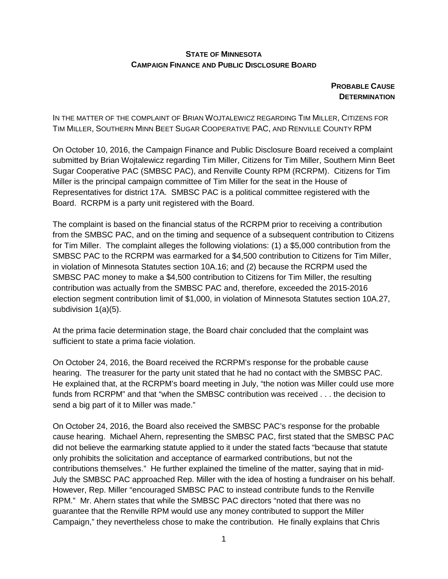## **STATE OF MINNESOTA CAMPAIGN FINANCE AND PUBLIC DISCLOSURE BOARD**

## **PROBABLE CAUSE DETERMINATION**

IN THE MATTER OF THE COMPLAINT OF BRIAN WOJTALEWICZ REGARDING TIM MILLER, CITIZENS FOR TIM MILLER, SOUTHERN MINN BEET SUGAR COOPERATIVE PAC, AND RENVILLE COUNTY RPM

On October 10, 2016, the Campaign Finance and Public Disclosure Board received a complaint submitted by Brian Wojtalewicz regarding Tim Miller, Citizens for Tim Miller, Southern Minn Beet Sugar Cooperative PAC (SMBSC PAC), and Renville County RPM (RCRPM). Citizens for Tim Miller is the principal campaign committee of Tim Miller for the seat in the House of Representatives for district 17A. SMBSC PAC is a political committee registered with the Board. RCRPM is a party unit registered with the Board.

The complaint is based on the financial status of the RCRPM prior to receiving a contribution from the SMBSC PAC, and on the timing and sequence of a subsequent contribution to Citizens for Tim Miller. The complaint alleges the following violations: (1) a \$5,000 contribution from the SMBSC PAC to the RCRPM was earmarked for a \$4,500 contribution to Citizens for Tim Miller, in violation of Minnesota Statutes section 10A.16; and (2) because the RCRPM used the SMBSC PAC money to make a \$4,500 contribution to Citizens for Tim Miller, the resulting contribution was actually from the SMBSC PAC and, therefore, exceeded the 2015-2016 election segment contribution limit of \$1,000, in violation of Minnesota Statutes section 10A.27, subdivision 1(a)(5).

At the prima facie determination stage, the Board chair concluded that the complaint was sufficient to state a prima facie violation.

On October 24, 2016, the Board received the RCRPM's response for the probable cause hearing. The treasurer for the party unit stated that he had no contact with the SMBSC PAC. He explained that, at the RCRPM's board meeting in July, "the notion was Miller could use more funds from RCRPM" and that "when the SMBSC contribution was received . . . the decision to send a big part of it to Miller was made."

On October 24, 2016, the Board also received the SMBSC PAC's response for the probable cause hearing. Michael Ahern, representing the SMBSC PAC, first stated that the SMBSC PAC did not believe the earmarking statute applied to it under the stated facts "because that statute only prohibits the solicitation and acceptance of earmarked contributions, but not the contributions themselves." He further explained the timeline of the matter, saying that in mid-July the SMBSC PAC approached Rep. Miller with the idea of hosting a fundraiser on his behalf. However, Rep. Miller "encouraged SMBSC PAC to instead contribute funds to the Renville RPM." Mr. Ahern states that while the SMBSC PAC directors "noted that there was no guarantee that the Renville RPM would use any money contributed to support the Miller Campaign," they nevertheless chose to make the contribution. He finally explains that Chris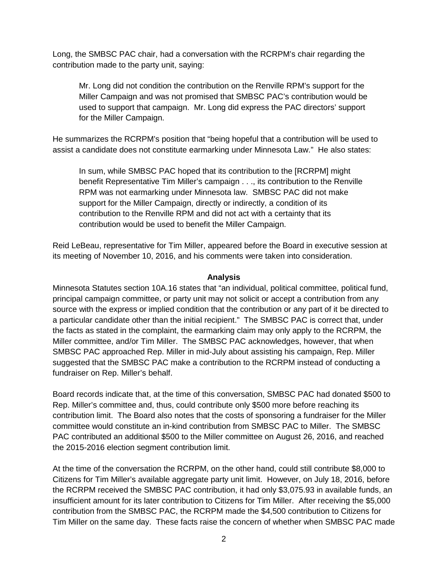Long, the SMBSC PAC chair, had a conversation with the RCRPM's chair regarding the contribution made to the party unit, saying:

Mr. Long did not condition the contribution on the Renville RPM's support for the Miller Campaign and was not promised that SMBSC PAC's contribution would be used to support that campaign. Mr. Long did express the PAC directors' support for the Miller Campaign.

He summarizes the RCRPM's position that "being hopeful that a contribution will be used to assist a candidate does not constitute earmarking under Minnesota Law." He also states:

In sum, while SMBSC PAC hoped that its contribution to the [RCRPM] might benefit Representative Tim Miller's campaign . . ., its contribution to the Renville RPM was not earmarking under Minnesota law. SMBSC PAC did not make support for the Miller Campaign, directly or indirectly, a condition of its contribution to the Renville RPM and did not act with a certainty that its contribution would be used to benefit the Miller Campaign.

Reid LeBeau, representative for Tim Miller, appeared before the Board in executive session at its meeting of November 10, 2016, and his comments were taken into consideration.

## **Analysis**

Minnesota Statutes section 10A.16 states that "an individual, political committee, political fund, principal campaign committee, or party unit may not solicit or accept a contribution from any source with the express or implied condition that the contribution or any part of it be directed to a particular candidate other than the initial recipient." The SMBSC PAC is correct that, under the facts as stated in the complaint, the earmarking claim may only apply to the RCRPM, the Miller committee, and/or Tim Miller. The SMBSC PAC acknowledges, however, that when SMBSC PAC approached Rep. Miller in mid-July about assisting his campaign, Rep. Miller suggested that the SMBSC PAC make a contribution to the RCRPM instead of conducting a fundraiser on Rep. Miller's behalf.

Board records indicate that, at the time of this conversation, SMBSC PAC had donated \$500 to Rep. Miller's committee and, thus, could contribute only \$500 more before reaching its contribution limit. The Board also notes that the costs of sponsoring a fundraiser for the Miller committee would constitute an in-kind contribution from SMBSC PAC to Miller. The SMBSC PAC contributed an additional \$500 to the Miller committee on August 26, 2016, and reached the 2015-2016 election segment contribution limit.

At the time of the conversation the RCRPM, on the other hand, could still contribute \$8,000 to Citizens for Tim Miller's available aggregate party unit limit. However, on July 18, 2016, before the RCRPM received the SMBSC PAC contribution, it had only \$3,075.93 in available funds, an insufficient amount for its later contribution to Citizens for Tim Miller. After receiving the \$5,000 contribution from the SMBSC PAC, the RCRPM made the \$4,500 contribution to Citizens for Tim Miller on the same day. These facts raise the concern of whether when SMBSC PAC made